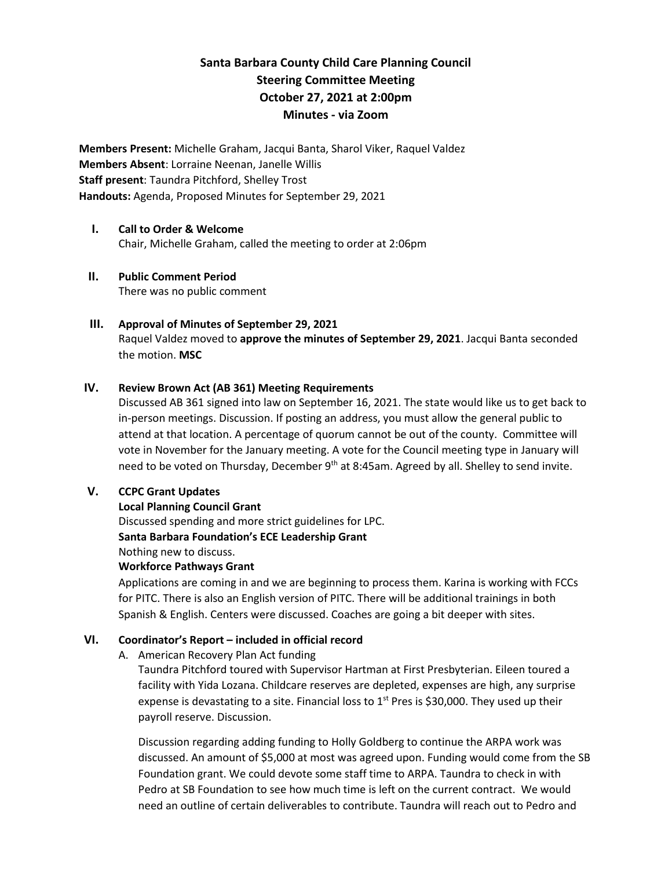# **Santa Barbara County Child Care Planning Council Steering Committee Meeting October 27, 2021 at 2:00pm Minutes - via Zoom**

**Members Present:** Michelle Graham, Jacqui Banta, Sharol Viker, Raquel Valdez **Members Absent**: Lorraine Neenan, Janelle Willis **Staff present**: Taundra Pitchford, Shelley Trost **Handouts:** Agenda, Proposed Minutes for September 29, 2021

# **I. Call to Order & Welcome**  Chair, Michelle Graham, called the meeting to order at 2:06pm

## **II. Public Comment Period**  There was no public comment

# **III. Approval of Minutes of September 29, 2021** Raquel Valdez moved to **approve the minutes of September 29, 2021**. Jacqui Banta seconded the motion. **MSC**

## **IV. Review Brown Act (AB 361) Meeting Requirements**

Discussed AB 361 signed into law on September 16, 2021. The state would like us to get back to in-person meetings. Discussion. If posting an address, you must allow the general public to attend at that location. A percentage of quorum cannot be out of the county. Committee will vote in November for the January meeting. A vote for the Council meeting type in January will need to be voted on Thursday, December 9<sup>th</sup> at 8:45am. Agreed by all. Shelley to send invite.

## **V. CCPC Grant Updates**

## **Local Planning Council Grant**

Discussed spending and more strict guidelines for LPC.

## **Santa Barbara Foundation's ECE Leadership Grant**

Nothing new to discuss.

## **Workforce Pathways Grant**

Applications are coming in and we are beginning to process them. Karina is working with FCCs for PITC. There is also an English version of PITC. There will be additional trainings in both Spanish & English. Centers were discussed. Coaches are going a bit deeper with sites.

## **VI. Coordinator's Report – included in official record**

A. American Recovery Plan Act funding

Taundra Pitchford toured with Supervisor Hartman at First Presbyterian. Eileen toured a facility with Yida Lozana. Childcare reserves are depleted, expenses are high, any surprise expense is devastating to a site. Financial loss to  $1<sup>st</sup>$  Pres is \$30,000. They used up their payroll reserve. Discussion.

Discussion regarding adding funding to Holly Goldberg to continue the ARPA work was discussed. An amount of \$5,000 at most was agreed upon. Funding would come from the SB Foundation grant. We could devote some staff time to ARPA. Taundra to check in with Pedro at SB Foundation to see how much time is left on the current contract. We would need an outline of certain deliverables to contribute. Taundra will reach out to Pedro and